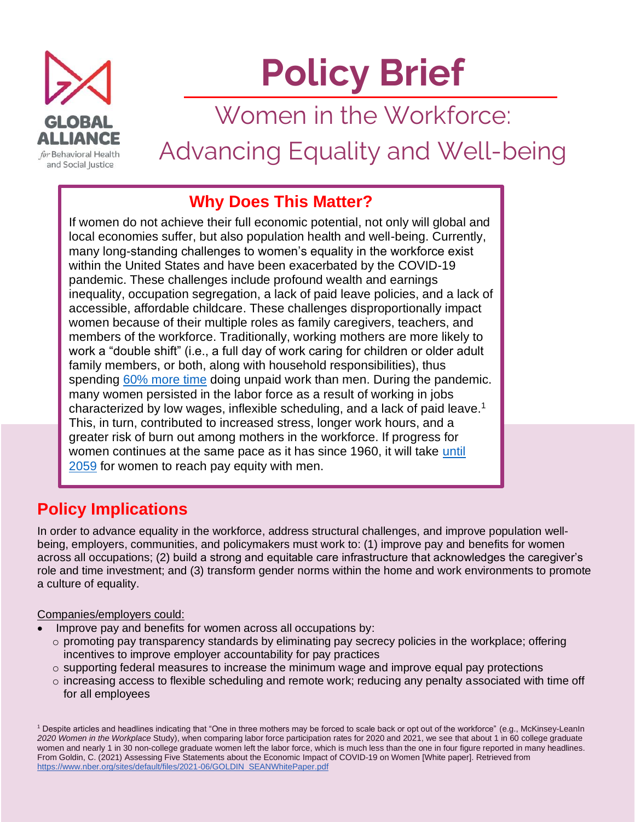

# **Policy Brief**

Women in the Workforce:

Advancing Equality and Well-being

## **Why Does This Matter?**

If women do not achieve their full economic potential, not only will global and local economies suffer, but also population health and well-being. Currently, many long-standing challenges to women's equality in the workforce exist within the United States and have been exacerbated by the COVID-19 pandemic. These challenges include profound wealth and earnings inequality, occupation segregation, a lack of paid leave policies, and a lack of accessible, affordable childcare. These challenges disproportionally impact women because of their multiple roles as family caregivers, teachers, and members of the workforce. Traditionally, working mothers are more likely to work a "double shift" (i.e., a full day of work caring for children or older adult family members, or both, along with household responsibilities), thus spending [60% more time](https://www.imf.org/en/Publications/WP/Issues/2019/10/15/Reducing-and-Redistributing-Unpaid-Work-Stronger-Policies-to-Support-Gender-Equality-48688) doing unpaid work than men. During the pandemic. many women persisted in the labor force as a result of working in jobs characterized by low wages, inflexible scheduling, and a lack of paid leave.<sup>1</sup> This, in turn, contributed to increased stress, longer work hours, and a greater risk of burn out among mothers in the workforce. If progress for women continues at the same pace as it has since 1960, it will take [until](http://referenceiwpr.wpengine.com/publications/pay-equity-projection-1960-2018/)  [2059](http://referenceiwpr.wpengine.com/publications/pay-equity-projection-1960-2018/) for women to reach pay equity with men.

## **Policy Implications**

In order to advance equality in the workforce, address structural challenges, and improve population wellbeing, employers, communities, and policymakers must work to: (1) improve pay and benefits for women across all occupations; (2) build a strong and equitable care infrastructure that acknowledges the caregiver's role and time investment; and (3) transform gender norms within the home and work environments to promote a culture of equality.

#### Companies/employers could:

- Improve pay and benefits for women across all occupations by:
	- $\circ$  promoting pay transparency standards by eliminating pay secrecy policies in the workplace; offering incentives to improve employer accountability for pay practices
	- o supporting federal measures to increase the minimum wage and improve equal pay protections
	- $\circ$  increasing access to flexible scheduling and remote work; reducing any penalty associated with time off for all employees

<sup>1</sup> Despite articles and headlines indicating that "One in three mothers may be forced to scale back or opt out of the workforce" (e.g., McKinsey-LeanIn *2020 Women in the Workplace* Study), when comparing labor force participation rates for 2020 and 2021, we see that about 1 in 60 college graduate women and nearly 1 in 30 non-college graduate women left the labor force, which is much less than the one in four figure reported in many headlines. From Goldin, C. (2021) Assessing Five Statements about the Economic Impact of COVID-19 on Women [White paper]. Retrieved from [https://www.nber.org/sites/default/files/2021-06/GOLDIN\\_SEANWhitePaper.pdf](https://www.nber.org/sites/default/files/2021-06/GOLDIN_SEANWhitePaper.pdf)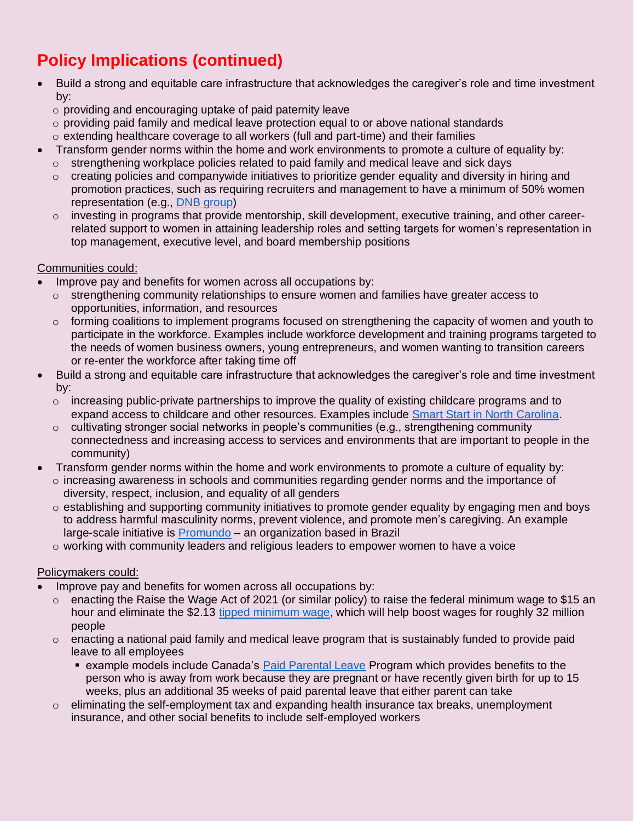# **Policy Implications (continued)**

- Build a strong and equitable care infrastructure that acknowledges the caregiver's role and time investment by:
	- o providing and encouraging uptake of paid paternity leave
	- $\circ$  providing paid family and medical leave protection equal to or above national standards
	- $\circ$  extending healthcare coverage to all workers (full and part-time) and their families
	- Transform gender norms within the home and work environments to promote a culture of equality by:
	- $\circ$  strengthening workplace policies related to paid family and medical leave and sick days
	- $\circ$  creating policies and companywide initiatives to prioritize gender equality and diversity in hiring and promotion practices, such as requiring recruiters and management to have a minimum of 50% women representation (e.g., [DNB group\)](https://www.dnb.no/en/about-us/equality-diversity.html)
	- $\circ$  investing in programs that provide mentorship, skill development, executive training, and other careerrelated support to women in attaining leadership roles and setting targets for women's representation in top management, executive level, and board membership positions

#### Communities could:

- Improve pay and benefits for women across all occupations by:
	- $\circ$  strengthening community relationships to ensure women and families have greater access to opportunities, information, and resources
	- $\circ$  forming coalitions to implement programs focused on strengthening the capacity of women and youth to participate in the workforce. Examples include workforce development and training programs targeted to the needs of women business owners, young entrepreneurs, and women wanting to transition careers or re-enter the workforce after taking time off
- Build a strong and equitable care infrastructure that acknowledges the caregiver's role and time investment by:
	- $\circ$  increasing public-private partnerships to improve the quality of existing childcare programs and to expand access to childcare and other resources. Examples include [Smart Start in North Carolina.](http://www.smartstart.org/about-smart-start/)
	- $\circ$  cultivating stronger social networks in people's communities (e.g., strengthening community connectedness and increasing access to services and environments that are important to people in the community)
- Transform gender norms within the home and work environments to promote a culture of equality by:  $\circ$  increasing awareness in schools and communities regarding gender norms and the importance of diversity, respect, inclusion, and equality of all genders
	- $\circ$  establishing and supporting community initiatives to promote gender equality by engaging men and boys to address harmful masculinity norms, prevent violence, and promote men's caregiving. An example large-scale initiative is [Promundo](https://promundoglobal.org/) – an organization based in Brazil
	- $\circ$  working with community leaders and religious leaders to empower women to have a voice

#### Policymakers could:

- Improve pay and benefits for women across all occupations by:
	- o enacting the Raise the Wage Act of 2021 (or similar policy) to raise the federal minimum wage to \$15 an hour and eliminate the \$2.13 [tipped minimum wage,](https://www.americanprogress.org/article/ending-tipped-minimum-wage-will-reduce-poverty-inequality/) which will help boost wages for roughly 32 million people
	- $\circ$  enacting a national paid family and medical leave program that is sustainably funded to provide paid leave to all employees
		- example models include Canada's [Paid Parental Leave](https://www.canada.ca/en/services/benefits/ei/ei-maternity-parental.html) Program which provides benefits to the person who is away from work because they are pregnant or have recently given birth for up to 15 weeks, plus an additional 35 weeks of paid parental leave that either parent can take
	- $\circ$  eliminating the self-employment tax and expanding health insurance tax breaks, unemployment insurance, and other social benefits to include self-employed workers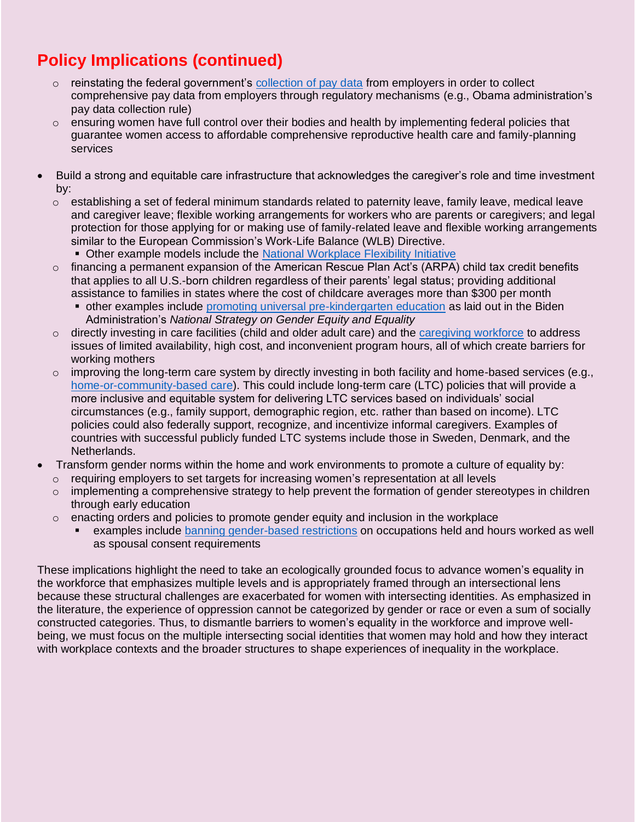## **Policy Implications (continued)**

- $\circ$  reinstating the federal government's [collection of pay data](https://www.americanprogress.org/issues/women/reports/2021/03/24/497478/10-essential-actions-promote-equal-pay/) from employers in order to collect comprehensive pay data from employers through regulatory mechanisms (e.g., Obama administration's pay data collection rule)
- $\circ$  ensuring women have full control over their bodies and health by implementing federal policies that guarantee women access to affordable comprehensive reproductive health care and family-planning services
- Build a strong and equitable care infrastructure that acknowledges the caregiver's role and time investment by:
	- $\circ$  establishing a set of federal minimum standards related to paternity leave, family leave, medical leave and caregiver leave; flexible working arrangements for workers who are parents or caregivers; and legal protection for those applying for or making use of family-related leave and flexible working arrangements similar to the European Commission's Work-Life Balance (WLB) Directive.
		- **Other example models include the [National Workplace Flexibility Initiative](https://sloan.org/programs/completed-programs/workplace-workforce-working-families#tab-national-workplace-flexibility-initiative)**
	- $\circ$  financing a permanent expansion of the American Rescue Plan Act's (ARPA) child tax credit benefits that applies to all U.S.-born children regardless of their parents' legal status; providing additional assistance to families in states where the cost of childcare averages more than \$300 per month
		- **other examples include [promoting universal pre-kindergarten education](https://www.whitehouse.gov/wp-content/uploads/2021/10/National-Strategy-on-Gender-Equity-and-Equality.pdf) as laid out in the Biden** Administration's *National Strategy on Gender Equity and Equality*
	- $\circ$  directly investing in care facilities (child and older adult care) and the [caregiving workforce](https://www.whitehouse.gov/wp-content/uploads/2021/10/National-Strategy-on-Gender-Equity-and-Equality.pdf) to address issues of limited availability, high cost, and inconvenient program hours, all of which create barriers for working mothers
	- $\circ$  improving the long-term care system by directly investing in both facility and home-based services (e.g., [home-or-community-based care\)](https://www.whitehouse.gov/wp-content/uploads/2021/10/National-Strategy-on-Gender-Equity-and-Equality.pdf). This could include long-term care (LTC) policies that will provide a more inclusive and equitable system for delivering LTC services based on individuals' social circumstances (e.g., family support, demographic region, etc. rather than based on income). LTC policies could also federally support, recognize, and incentivize informal caregivers. Examples of countries with successful publicly funded LTC systems include those in Sweden, Denmark, and the Netherlands.
- Transform gender norms within the home and work environments to promote a culture of equality by:
	- $\circ$  requiring employers to set targets for increasing women's representation at all levels
	- o implementing a comprehensive strategy to help prevent the formation of gender stereotypes in children through early education
	- $\circ$  enacting orders and policies to promote gender equity and inclusion in the workplace
		- examples include [banning gender-based restrictions](https://www.whitehouse.gov/wp-content/uploads/2021/10/National-Strategy-on-Gender-Equity-and-Equality.pdf) on occupations held and hours worked as well as spousal consent requirements

These implications highlight the need to take an ecologically grounded focus to advance women's equality in the workforce that emphasizes multiple levels and is appropriately framed through an intersectional lens because these structural challenges are exacerbated for women with intersecting identities. As emphasized in the literature, the experience of oppression cannot be categorized by gender or race or even a sum of socially constructed categories. Thus, to dismantle barriers to women's equality in the workforce and improve wellbeing, we must focus on the multiple intersecting social identities that women may hold and how they interact with workplace contexts and the broader structures to shape experiences of inequality in the workplace.